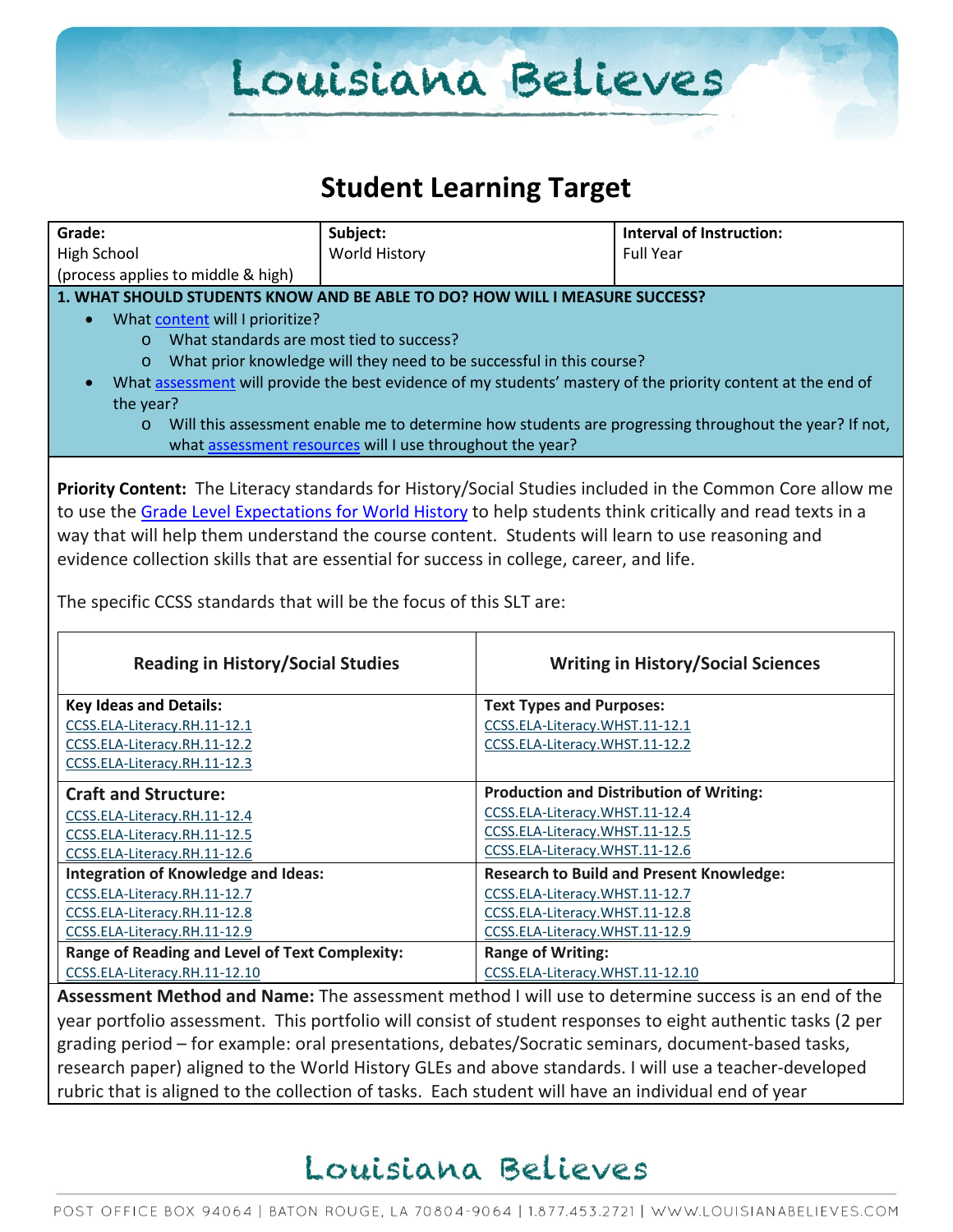### **Student Learning Target**

| Grade:                                                                                                      | Subject:                                                             |                                           | <b>Interval of Instruction:</b>                                                                              |
|-------------------------------------------------------------------------------------------------------------|----------------------------------------------------------------------|-------------------------------------------|--------------------------------------------------------------------------------------------------------------|
| <b>High School</b>                                                                                          | World History                                                        |                                           | <b>Full Year</b>                                                                                             |
| (process applies to middle & high)                                                                          |                                                                      |                                           |                                                                                                              |
| 1. WHAT SHOULD STUDENTS KNOW AND BE ABLE TO DO? HOW WILL I MEASURE SUCCESS?                                 |                                                                      |                                           |                                                                                                              |
| What content will I prioritize?<br>$\bullet$                                                                |                                                                      |                                           |                                                                                                              |
| o What standards are most tied to success?                                                                  |                                                                      |                                           |                                                                                                              |
|                                                                                                             |                                                                      |                                           |                                                                                                              |
| $\circ$                                                                                                     | What prior knowledge will they need to be successful in this course? |                                           |                                                                                                              |
|                                                                                                             |                                                                      |                                           | What assessment will provide the best evidence of my students' mastery of the priority content at the end of |
| the year?                                                                                                   |                                                                      |                                           |                                                                                                              |
| $\circ$                                                                                                     |                                                                      |                                           | Will this assessment enable me to determine how students are progressing throughout the year? If not,        |
|                                                                                                             | what assessment resources will I use throughout the year?            |                                           |                                                                                                              |
|                                                                                                             |                                                                      |                                           |                                                                                                              |
|                                                                                                             |                                                                      |                                           | Priority Content: The Literacy standards for History/Social Studies included in the Common Core allow me     |
| to use the Grade Level Expectations for World History to help students think critically and read texts in a |                                                                      |                                           |                                                                                                              |
| way that will help them understand the course content. Students will learn to use reasoning and             |                                                                      |                                           |                                                                                                              |
| evidence collection skills that are essential for success in college, career, and life.                     |                                                                      |                                           |                                                                                                              |
|                                                                                                             |                                                                      |                                           |                                                                                                              |
| The specific CCSS standards that will be the focus of this SLT are:                                         |                                                                      |                                           |                                                                                                              |
|                                                                                                             |                                                                      |                                           |                                                                                                              |
|                                                                                                             |                                                                      |                                           |                                                                                                              |
| <b>Reading in History/Social Studies</b>                                                                    |                                                                      | <b>Writing in History/Social Sciences</b> |                                                                                                              |
|                                                                                                             |                                                                      |                                           |                                                                                                              |
| <b>Key Ideas and Details:</b>                                                                               |                                                                      | <b>Text Types and Purposes:</b>           |                                                                                                              |
| CCSS.ELA-Literacy.RH.11-12.1                                                                                |                                                                      | CCSS.ELA-Literacy.WHST.11-12.1            |                                                                                                              |
| CCSS.ELA-Literacy.RH.11-12.2                                                                                |                                                                      | CCSS.ELA-Literacy.WHST.11-12.2            |                                                                                                              |
| CCSS.ELA-Literacy.RH.11-12.3                                                                                |                                                                      |                                           |                                                                                                              |
| <b>Craft and Structure:</b>                                                                                 |                                                                      |                                           | <b>Production and Distribution of Writing:</b>                                                               |
| CCSS.ELA-Literacy.RH.11-12.4                                                                                |                                                                      | CCSS.ELA-Literacy.WHST.11-12.4            |                                                                                                              |
| CCSS.ELA-Literacy.RH.11-12.5                                                                                |                                                                      | CCSS.ELA-Literacy.WHST.11-12.5            |                                                                                                              |
| CCSS.ELA-Literacy.RH.11-12.6                                                                                |                                                                      | CCSS.ELA-Literacy.WHST.11-12.6            |                                                                                                              |
| <b>Integration of Knowledge and Ideas:</b>                                                                  |                                                                      |                                           | <b>Research to Build and Present Knowledge:</b>                                                              |
| CCSS.ELA-Literacy.RH.11-12.7                                                                                |                                                                      | CCSS.ELA-Literacy.WHST.11-12.7            |                                                                                                              |
| CCSS.ELA-Literacy.RH.11-12.8                                                                                |                                                                      | CCSS.ELA-Literacy.WHST.11-12.8            |                                                                                                              |
| CCSS.ELA-Literacy.RH.11-12.9                                                                                |                                                                      | CCSS.ELA-Literacy.WHST.11-12.9            |                                                                                                              |
| Range of Reading and Level of Text Complexity:                                                              |                                                                      | <b>Range of Writing:</b>                  |                                                                                                              |
| CCSS.ELA-Literacy.RH.11-12.10                                                                               |                                                                      | CCSS.ELA-Literacy.WHST.11-12.10           |                                                                                                              |
| Assessment Method and Name: The assessment method I will use to determine success is an end of the          |                                                                      |                                           |                                                                                                              |

year portfolio assessment. This portfolio will consist of student responses to eight authentic tasks (2 per grading period – for example: oral presentations, debates/Socratic seminars, document-based tasks, research paper) aligned to the World History GLEs and above standards. I will use a teacher-developed rubric that is aligned to the collection of tasks. Each student will have an individual end of year

### Louisiana Believes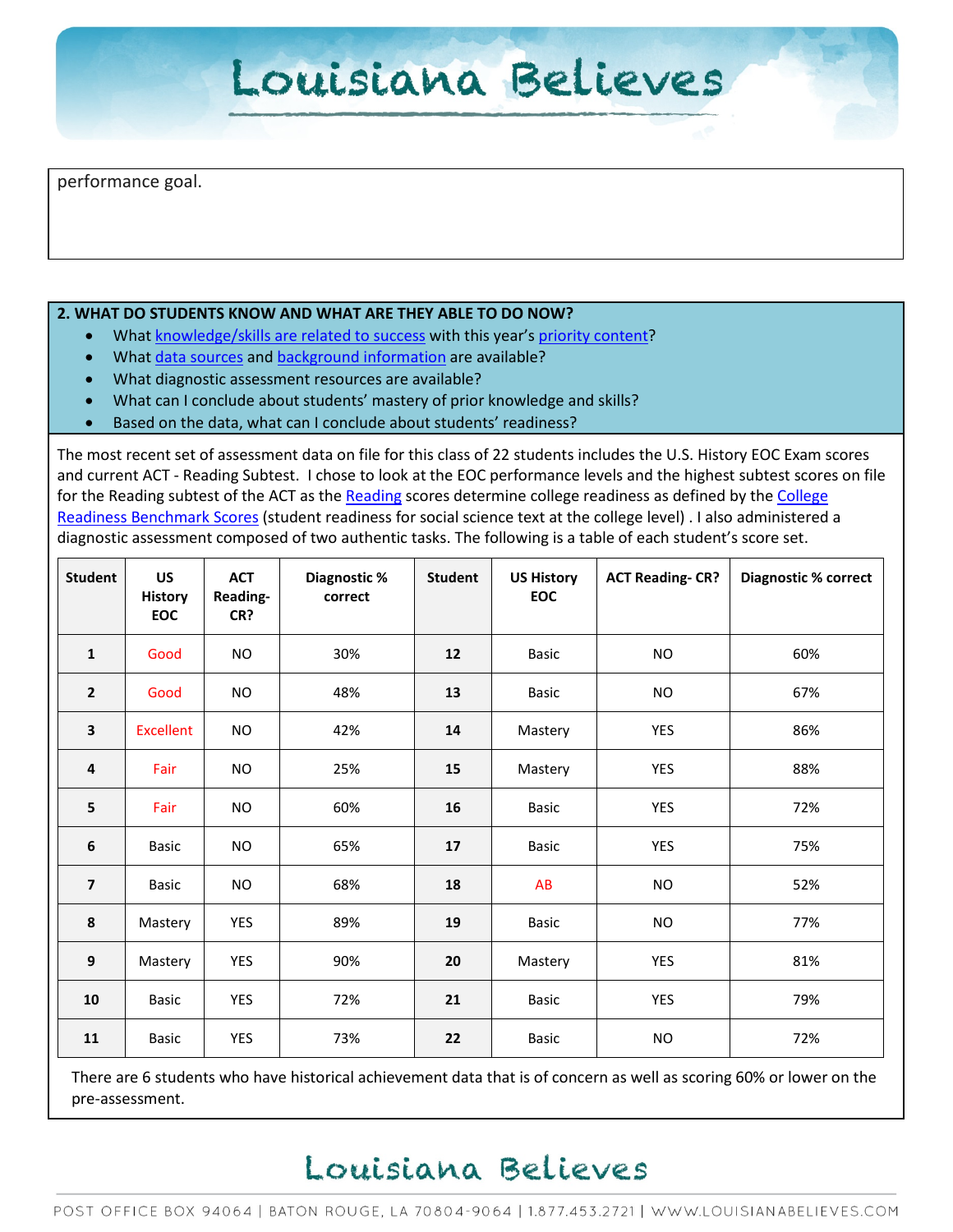performance goal.

#### **2. WHAT DO STUDENTS KNOW AND WHAT ARE THEY ABLE TO DO NOW?**

- Wha[t knowledge/skills are related to success](http://www.louisianabelieves.com/academics/2014-2015-curricular-package) with this year's [priority content?](http://www.louisianabelieves.com/resources/classroom-support-toolbox/teacher-support-toolbox/standards)
- Wha[t data sources](http://www.louisianabelieves.com/resources/classroom-support-toolbox/teacher-support-toolbox/student-achievement-results) and [background information](http://www.louisianabelieves.com/resources/library/data-center) are available?
- What diagnostic assessment resources are available?
- What can I conclude about students' mastery of prior knowledge and skills?
- Based on the data, what can I conclude about students' readiness?

The most recent set of assessment data on file for this class of 22 students includes the U.S. History EOC Exam scores and current ACT - Reading Subtest. I chose to look at the EOC performance levels and the highest subtest scores on file for the [Reading](http://www.act.org/standard/planact/reading/index.html) subtest of the ACT as the Reading scores determine college readiness as defined by the College [Readiness Benchmark Scores](http://www.act.org/solutions/college-career-readiness/college-readiness-benchmarks/) (student readiness for social science text at the college level) . I also administered a diagnostic assessment composed of two authentic tasks. The following is a table of each student's score set.

| <b>Student</b>          | <b>US</b><br><b>History</b><br><b>EOC</b> | <b>ACT</b><br>Reading-<br>CR? | Diagnostic %<br>correct | <b>Student</b> | <b>US History</b><br>EOC | <b>ACT Reading-CR?</b> | <b>Diagnostic % correct</b> |
|-------------------------|-------------------------------------------|-------------------------------|-------------------------|----------------|--------------------------|------------------------|-----------------------------|
| 1                       | Good                                      | <b>NO</b>                     | 30%                     | 12             | <b>Basic</b>             | <b>NO</b>              | 60%                         |
| $\overline{2}$          | Good                                      | <b>NO</b>                     | 48%                     | 13             | <b>Basic</b>             | <b>NO</b>              | 67%                         |
| 3                       | <b>Excellent</b>                          | <b>NO</b>                     | 42%                     | 14             | Mastery                  | YES                    | 86%                         |
| $\pmb{4}$               | Fair                                      | <b>NO</b>                     | 25%                     | 15             | Mastery                  | YES                    | 88%                         |
| 5                       | Fair                                      | NO.                           | 60%                     | 16             | <b>Basic</b>             | YES                    | 72%                         |
| $\boldsymbol{6}$        | <b>Basic</b>                              | NO.                           | 65%                     | 17             | Basic                    | YES                    | 75%                         |
| $\overline{\mathbf{z}}$ | <b>Basic</b>                              | NO                            | 68%                     | 18             | AB                       | <b>NO</b>              | 52%                         |
| 8                       | Mastery                                   | <b>YES</b>                    | 89%                     | 19             | Basic                    | <b>NO</b>              | 77%                         |
| 9                       | Mastery                                   | YES                           | 90%                     | 20             | Mastery                  | YES                    | 81%                         |
| 10                      | <b>Basic</b>                              | YES                           | 72%                     | 21             | <b>Basic</b>             | YES                    | 79%                         |
| 11                      | <b>Basic</b>                              | <b>YES</b>                    | 73%                     | 22             | <b>Basic</b>             | <b>NO</b>              | 72%                         |

There are 6 students who have historical achievement data that is of concern as well as scoring 60% or lower on the pre-assessment.

### Louisiana Believes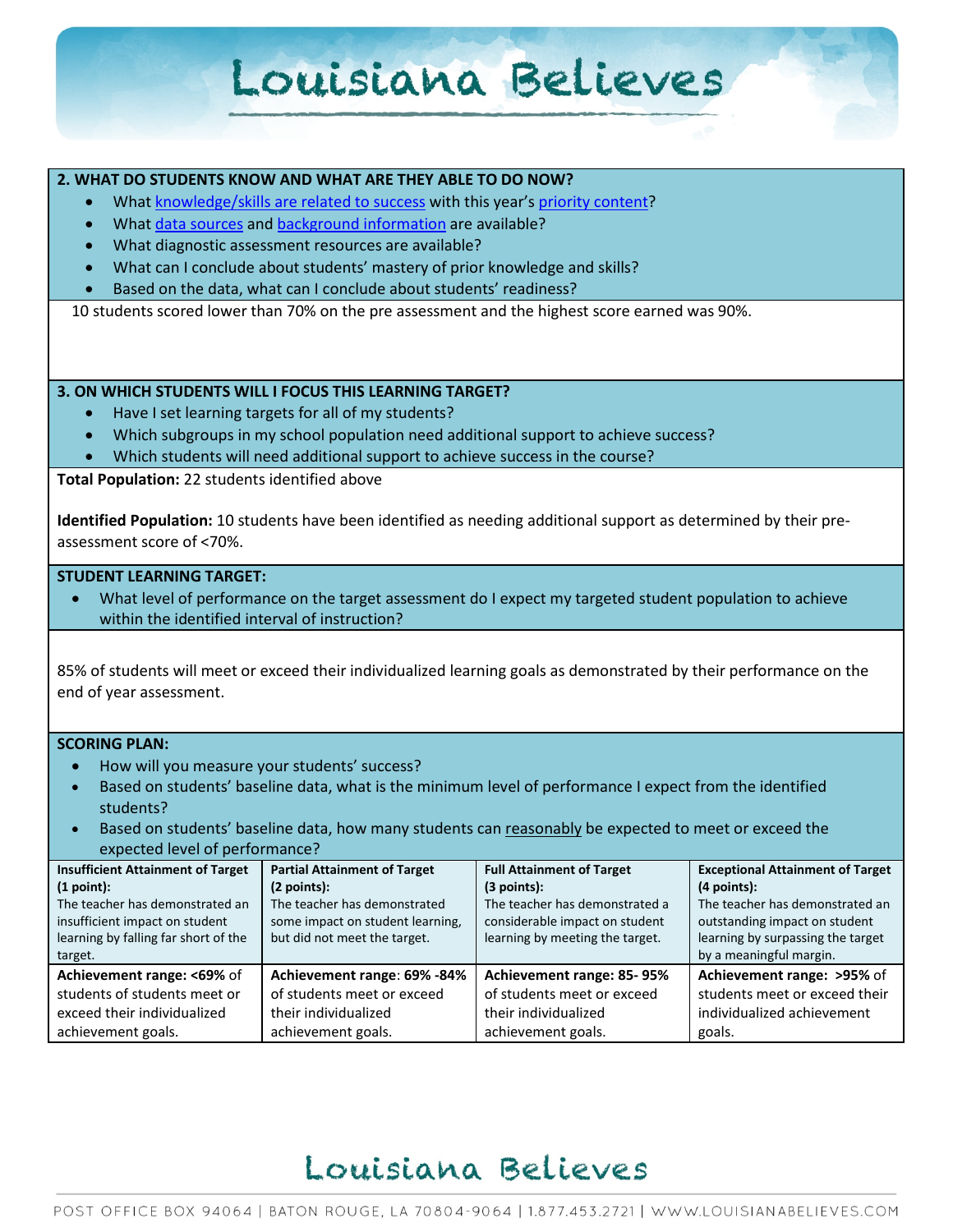#### **2. WHAT DO STUDENTS KNOW AND WHAT ARE THEY ABLE TO DO NOW?**

- Wha[t knowledge/skills are related to success](http://www.louisianabelieves.com/academics/2014-2015-curricular-package) with this year's [priority content?](http://www.louisianabelieves.com/resources/classroom-support-toolbox/teacher-support-toolbox/standards)
- Wha[t data sources](http://www.louisianabelieves.com/resources/classroom-support-toolbox/teacher-support-toolbox/student-achievement-results) and [background information](http://www.louisianabelieves.com/resources/library/data-center) are available?
- What diagnostic assessment resources are available?
- What can I conclude about students' mastery of prior knowledge and skills?
- Based on the data, what can I conclude about students' readiness?

10 students scored lower than 70% on the pre assessment and the highest score earned was 90%.

#### **3. ON WHICH STUDENTS WILL I FOCUS THIS LEARNING TARGET?**

- Have I set learning targets for all of my students?
- Which subgroups in my school population need additional support to achieve success?
- Which students will need additional support to achieve success in the course?

**Total Population:** 22 students identified above

**Identified Population:** 10 students have been identified as needing additional support as determined by their preassessment score of <70%.

#### **STUDENT LEARNING TARGET:**

• What level of performance on the target assessment do I expect my targeted student population to achieve within the identified interval of instruction?

85% of students will meet or exceed their individualized learning goals as demonstrated by their performance on the end of year assessment.

#### **SCORING PLAN:**

- How will you measure your students' success?
- Based on students' baseline data, what is the minimum level of performance I expect from the identified students?
- Based on students' baseline data, how many students can reasonably be expected to meet or exceed the expected level of performance?

| <b>Insufficient Attainment of Target</b> | Partial Attainment of Target     | <b>Full Attainment of Target</b> | <b>Exceptional Attainment of Target</b> |
|------------------------------------------|----------------------------------|----------------------------------|-----------------------------------------|
| (1 point):                               | (2 points):                      | $(3$ points):                    | $(4$ points):                           |
| The teacher has demonstrated an          | The teacher has demonstrated     | The teacher has demonstrated a   | The teacher has demonstrated an         |
| insufficient impact on student           | some impact on student learning, | considerable impact on student   | outstanding impact on student           |
| learning by falling far short of the     | but did not meet the target.     | learning by meeting the target.  | learning by surpassing the target       |
| target.                                  |                                  |                                  | by a meaningful margin.                 |
| Achievement range: <69% of               | Achievement range: 69% -84%      | Achievement range: 85-95%        | Achievement range: >95% of              |
| students of students meet or             | of students meet or exceed       | of students meet or exceed       | students meet or exceed their           |
| exceed their individualized              | their individualized             | their individualized             | individualized achievement              |
| achievement goals.                       | achievement goals.               | achievement goals.               | goals.                                  |

### Louisiana Believes